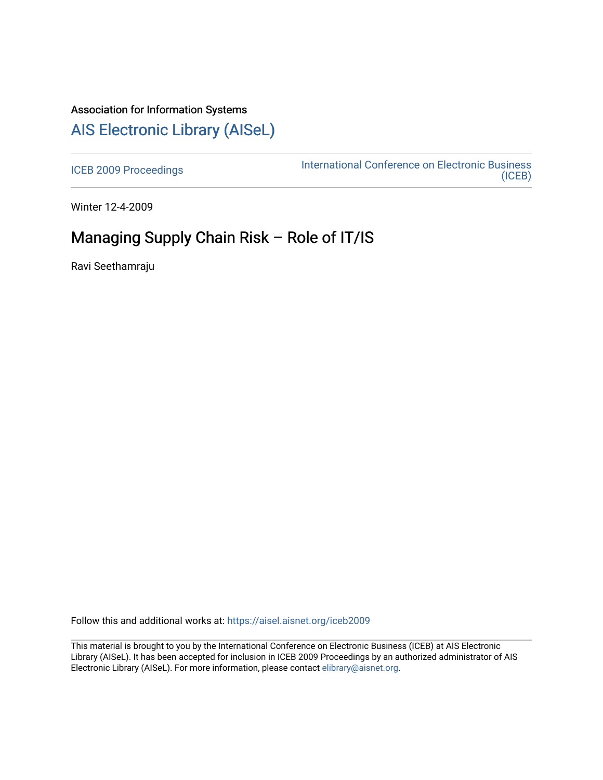## Association for Information Systems [AIS Electronic Library \(AISeL\)](https://aisel.aisnet.org/)

[ICEB 2009 Proceedings](https://aisel.aisnet.org/iceb2009) **International Conference on Electronic Business** [\(ICEB\)](https://aisel.aisnet.org/iceb) 

Winter 12-4-2009

# Managing Supply Chain Risk – Role of IT/IS

Ravi Seethamraju

Follow this and additional works at: [https://aisel.aisnet.org/iceb2009](https://aisel.aisnet.org/iceb2009?utm_source=aisel.aisnet.org%2Ficeb2009%2F158&utm_medium=PDF&utm_campaign=PDFCoverPages)

This material is brought to you by the International Conference on Electronic Business (ICEB) at AIS Electronic Library (AISeL). It has been accepted for inclusion in ICEB 2009 Proceedings by an authorized administrator of AIS Electronic Library (AISeL). For more information, please contact [elibrary@aisnet.org.](mailto:elibrary@aisnet.org%3E)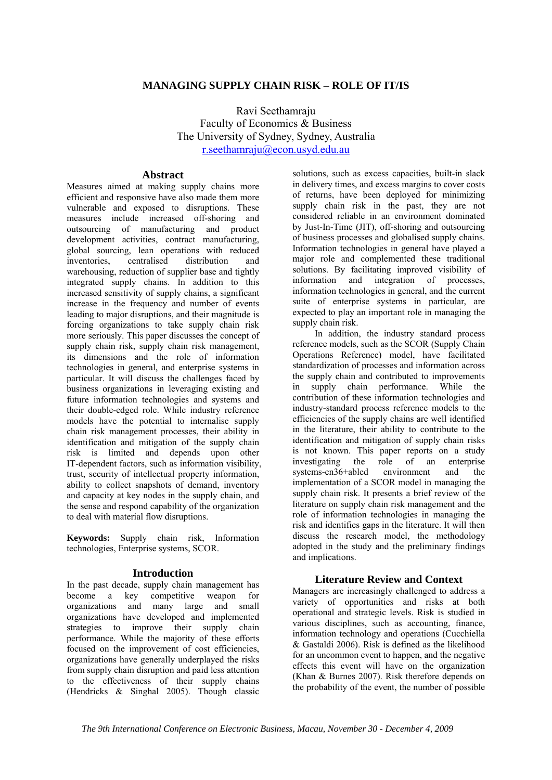## **MANAGING SUPPLY CHAIN RISK – ROLE OF IT/IS**

Ravi Seethamraju Faculty of Economics & Business The University of Sydney, Sydney, Australia r.seethamraju@econ.usyd.edu.au

## **Abstract**

Measures aimed at making supply chains more efficient and responsive have also made them more vulnerable and exposed to disruptions. These measures include increased off-shoring and outsourcing of manufacturing and product development activities, contract manufacturing, global sourcing, lean operations with reduced inventories, centralised distribution and warehousing, reduction of supplier base and tightly integrated supply chains. In addition to this increased sensitivity of supply chains, a significant increase in the frequency and number of events leading to major disruptions, and their magnitude is forcing organizations to take supply chain risk more seriously. This paper discusses the concept of supply chain risk, supply chain risk management, its dimensions and the role of information technologies in general, and enterprise systems in particular. It will discuss the challenges faced by business organizations in leveraging existing and future information technologies and systems and their double-edged role. While industry reference models have the potential to internalise supply chain risk management processes, their ability in identification and mitigation of the supply chain risk is limited and depends upon other IT-dependent factors, such as information visibility, trust, security of intellectual property information, ability to collect snapshots of demand, inventory and capacity at key nodes in the supply chain, and the sense and respond capability of the organization to deal with material flow disruptions.

**Keywords:** Supply chain risk, Information technologies, Enterprise systems, SCOR.

## **Introduction**

In the past decade, supply chain management has become a key competitive weapon for organizations and many large and small organizations have developed and implemented strategies to improve their supply chain performance. While the majority of these efforts focused on the improvement of cost efficiencies, organizations have generally underplayed the risks from supply chain disruption and paid less attention to the effectiveness of their supply chains (Hendricks & Singhal 2005). Though classic solutions, such as excess capacities, built-in slack in delivery times, and excess margins to cover costs of returns, have been deployed for minimizing supply chain risk in the past, they are not considered reliable in an environment dominated by Just-In-Time (JIT), off-shoring and outsourcing of business processes and globalised supply chains. Information technologies in general have played a major role and complemented these traditional solutions. By facilitating improved visibility of information and integration of processes, information technologies in general, and the current suite of enterprise systems in particular, are expected to play an important role in managing the supply chain risk.

In addition, the industry standard process reference models, such as the SCOR (Supply Chain Operations Reference) model, have facilitated standardization of processes and information across the supply chain and contributed to improvements in supply chain performance. While the contribution of these information technologies and industry-standard process reference models to the efficiencies of the supply chains are well identified in the literature, their ability to contribute to the identification and mitigation of supply chain risks is not known. This paper reports on a study investigating the role of an enterprise<br>systems-en36+abled environment and the systems-en36+abled environment and the implementation of a SCOR model in managing the supply chain risk. It presents a brief review of the literature on supply chain risk management and the role of information technologies in managing the risk and identifies gaps in the literature. It will then discuss the research model, the methodology adopted in the study and the preliminary findings and implications.

## **Literature Review and Context**

Managers are increasingly challenged to address a variety of opportunities and risks at both operational and strategic levels. Risk is studied in various disciplines, such as accounting, finance, information technology and operations (Cucchiella & Gastaldi 2006). Risk is defined as the likelihood for an uncommon event to happen, and the negative effects this event will have on the organization (Khan & Burnes 2007). Risk therefore depends on the probability of the event, the number of possible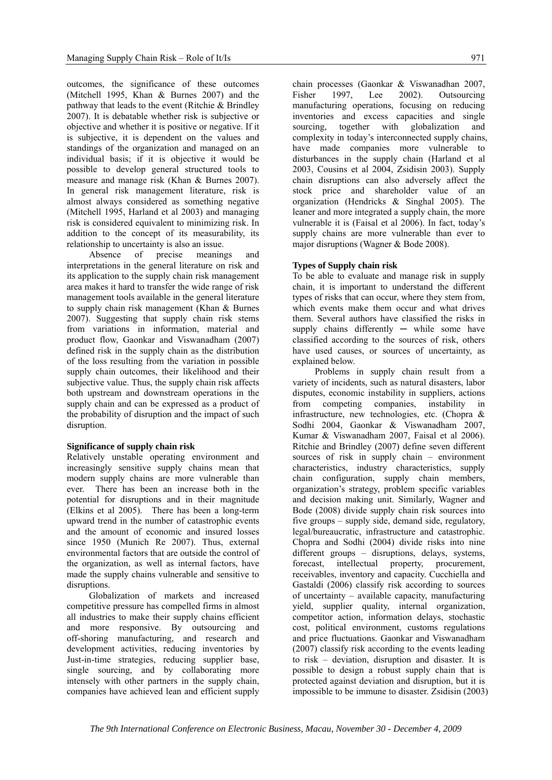outcomes, the significance of these outcomes (Mitchell 1995, Khan & Burnes 2007) and the pathway that leads to the event (Ritchie & Brindley 2007). It is debatable whether risk is subjective or objective and whether it is positive or negative. If it is subjective, it is dependent on the values and standings of the organization and managed on an individual basis; if it is objective it would be possible to develop general structured tools to measure and manage risk (Khan & Burnes 2007). In general risk management literature, risk is almost always considered as something negative (Mitchell 1995, Harland et al 2003) and managing risk is considered equivalent to minimizing risk. In addition to the concept of its measurability, its relationship to uncertainty is also an issue.

Absence of precise meanings and interpretations in the general literature on risk and its application to the supply chain risk management area makes it hard to transfer the wide range of risk management tools available in the general literature to supply chain risk management (Khan & Burnes 2007). Suggesting that supply chain risk stems from variations in information, material and product flow, Gaonkar and Viswanadham (2007) defined risk in the supply chain as the distribution of the loss resulting from the variation in possible supply chain outcomes, their likelihood and their subjective value. Thus, the supply chain risk affects both upstream and downstream operations in the supply chain and can be expressed as a product of the probability of disruption and the impact of such disruption.

#### **Significance of supply chain risk**

Relatively unstable operating environment and increasingly sensitive supply chains mean that modern supply chains are more vulnerable than ever. There has been an increase both in the potential for disruptions and in their magnitude (Elkins et al 2005). There has been a long-term upward trend in the number of catastrophic events and the amount of economic and insured losses since 1950 (Munich Re 2007). Thus, external environmental factors that are outside the control of the organization, as well as internal factors, have made the supply chains vulnerable and sensitive to disruptions.

Globalization of markets and increased competitive pressure has compelled firms in almost all industries to make their supply chains efficient and more responsive. By outsourcing and off-shoring manufacturing, and research and development activities, reducing inventories by Just-in-time strategies, reducing supplier base, single sourcing, and by collaborating more intensely with other partners in the supply chain, companies have achieved lean and efficient supply

chain processes (Gaonkar & Viswanadhan 2007, Fisher 1997, Lee 2002). Outsourcing manufacturing operations, focusing on reducing inventories and excess capacities and single sourcing, together with globalization and complexity in today's interconnected supply chains, have made companies more vulnerable to disturbances in the supply chain (Harland et al 2003, Cousins et al 2004, Zsidisin 2003). Supply chain disruptions can also adversely affect the stock price and shareholder value of an organization (Hendricks & Singhal 2005). The leaner and more integrated a supply chain, the more vulnerable it is (Faisal et al 2006). In fact, today's supply chains are more vulnerable than ever to major disruptions (Wagner & Bode 2008).

#### **Types of Supply chain risk**

To be able to evaluate and manage risk in supply chain, it is important to understand the different types of risks that can occur, where they stem from, which events make them occur and what drives them. Several authors have classified the risks in supply chains differently - while some have classified according to the sources of risk, others have used causes, or sources of uncertainty, as explained below.

Problems in supply chain result from a variety of incidents, such as natural disasters, labor disputes, economic instability in suppliers, actions from competing companies, instability in infrastructure, new technologies, etc. (Chopra & Sodhi 2004, Gaonkar & Viswanadham 2007, Kumar & Viswanadham 2007, Faisal et al 2006). Ritchie and Brindley (2007) define seven different sources of risk in supply chain – environment characteristics, industry characteristics, supply chain configuration, supply chain members, organization's strategy, problem specific variables and decision making unit. Similarly, Wagner and Bode (2008) divide supply chain risk sources into five groups – supply side, demand side, regulatory, legal/bureaucratic, infrastructure and catastrophic. Chopra and Sodhi (2004) divide risks into nine different groups – disruptions, delays, systems, forecast, intellectual property, procurement, receivables, inventory and capacity. Cucchiella and Gastaldi (2006) classify risk according to sources of uncertainty – available capacity, manufacturing yield, supplier quality, internal organization, competitor action, information delays, stochastic cost, political environment, customs regulations and price fluctuations. Gaonkar and Viswanadham (2007) classify risk according to the events leading to risk – deviation, disruption and disaster. It is possible to design a robust supply chain that is protected against deviation and disruption, but it is impossible to be immune to disaster. Zsidisin (2003)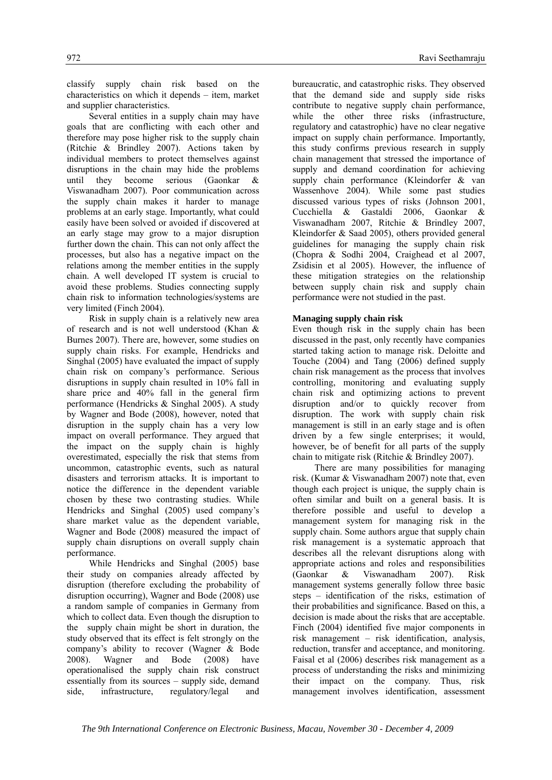classify supply chain risk based on the characteristics on which it depends – item, market and supplier characteristics.

Several entities in a supply chain may have goals that are conflicting with each other and therefore may pose higher risk to the supply chain (Ritchie & Brindley 2007). Actions taken by individual members to protect themselves against disruptions in the chain may hide the problems until they become serious (Gaonkar & Viswanadham 2007). Poor communication across the supply chain makes it harder to manage problems at an early stage. Importantly, what could easily have been solved or avoided if discovered at an early stage may grow to a major disruption further down the chain. This can not only affect the processes, but also has a negative impact on the relations among the member entities in the supply chain. A well developed IT system is crucial to avoid these problems. Studies connecting supply chain risk to information technologies/systems are very limited (Finch 2004).

Risk in supply chain is a relatively new area of research and is not well understood (Khan & Burnes 2007). There are, however, some studies on supply chain risks. For example, Hendricks and Singhal (2005) have evaluated the impact of supply chain risk on company's performance. Serious disruptions in supply chain resulted in 10% fall in share price and 40% fall in the general firm performance (Hendricks & Singhal 2005). A study by Wagner and Bode (2008), however, noted that disruption in the supply chain has a very low impact on overall performance. They argued that the impact on the supply chain is highly overestimated, especially the risk that stems from uncommon, catastrophic events, such as natural disasters and terrorism attacks. It is important to notice the difference in the dependent variable chosen by these two contrasting studies. While Hendricks and Singhal (2005) used company's share market value as the dependent variable, Wagner and Bode (2008) measured the impact of supply chain disruptions on overall supply chain performance.

While Hendricks and Singhal (2005) base their study on companies already affected by disruption (therefore excluding the probability of disruption occurring), Wagner and Bode (2008) use a random sample of companies in Germany from which to collect data. Even though the disruption to the supply chain might be short in duration, the study observed that its effect is felt strongly on the company's ability to recover (Wagner & Bode 2008). Wagner and Bode (2008) have operationalised the supply chain risk construct essentially from its sources – supply side, demand side, infrastructure, regulatory/legal and

bureaucratic, and catastrophic risks. They observed that the demand side and supply side risks contribute to negative supply chain performance, while the other three risks (infrastructure, regulatory and catastrophic) have no clear negative impact on supply chain performance. Importantly, this study confirms previous research in supply chain management that stressed the importance of supply and demand coordination for achieving supply chain performance (Kleindorfer & van Wassenhove 2004). While some past studies discussed various types of risks (Johnson 2001, Cucchiella & Gastaldi 2006, Gaonkar & Viswanadham 2007, Ritchie & Brindley 2007, Kleindorfer & Saad 2005), others provided general guidelines for managing the supply chain risk (Chopra & Sodhi 2004, Craighead et al 2007, Zsidisin et al 2005). However, the influence of these mitigation strategies on the relationship between supply chain risk and supply chain performance were not studied in the past.

## **Managing supply chain risk**

Even though risk in the supply chain has been discussed in the past, only recently have companies started taking action to manage risk. Deloitte and Touche (2004) and Tang (2006) defined supply chain risk management as the process that involves controlling, monitoring and evaluating supply chain risk and optimizing actions to prevent disruption and/or to quickly recover from disruption. The work with supply chain risk management is still in an early stage and is often driven by a few single enterprises; it would, however, be of benefit for all parts of the supply chain to mitigate risk (Ritchie & Brindley 2007).

There are many possibilities for managing risk. (Kumar & Viswanadham 2007) note that, even though each project is unique, the supply chain is often similar and built on a general basis. It is therefore possible and useful to develop a management system for managing risk in the supply chain. Some authors argue that supply chain risk management is a systematic approach that describes all the relevant disruptions along with appropriate actions and roles and responsibilities (Gaonkar & Viswanadham 2007). Risk management systems generally follow three basic steps – identification of the risks, estimation of their probabilities and significance. Based on this, a decision is made about the risks that are acceptable. Finch (2004) identified five major components in risk management – risk identification, analysis, reduction, transfer and acceptance, and monitoring. Faisal et al (2006) describes risk management as a process of understanding the risks and minimizing their impact on the company. Thus, risk management involves identification, assessment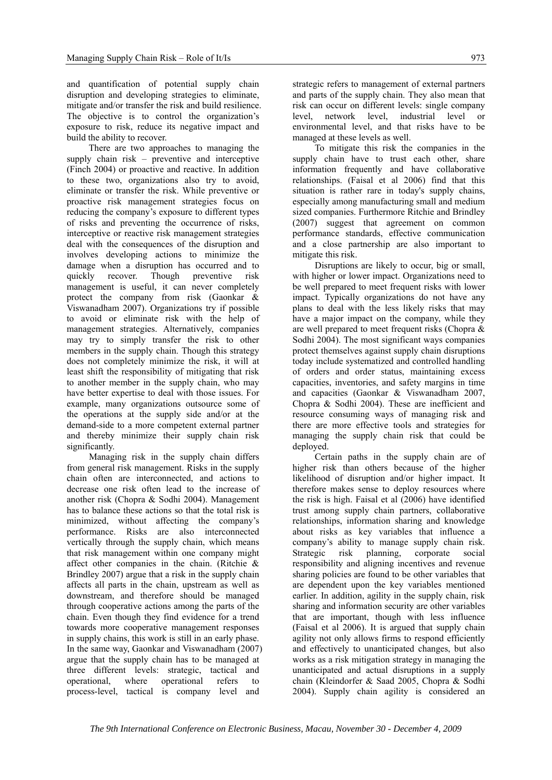and quantification of potential supply chain disruption and developing strategies to eliminate, mitigate and/or transfer the risk and build resilience. The objective is to control the organization's exposure to risk, reduce its negative impact and build the ability to recover.

There are two approaches to managing the supply chain risk – preventive and interceptive (Finch 2004) or proactive and reactive. In addition to these two, organizations also try to avoid, eliminate or transfer the risk. While preventive or proactive risk management strategies focus on reducing the company's exposure to different types of risks and preventing the occurrence of risks, interceptive or reactive risk management strategies deal with the consequences of the disruption and involves developing actions to minimize the damage when a disruption has occurred and to quickly recover. Though preventive risk management is useful, it can never completely protect the company from risk (Gaonkar & Viswanadham 2007). Organizations try if possible to avoid or eliminate risk with the help of management strategies. Alternatively, companies may try to simply transfer the risk to other members in the supply chain. Though this strategy does not completely minimize the risk, it will at least shift the responsibility of mitigating that risk to another member in the supply chain, who may have better expertise to deal with those issues. For example, many organizations outsource some of the operations at the supply side and/or at the demand-side to a more competent external partner and thereby minimize their supply chain risk significantly.

Managing risk in the supply chain differs from general risk management. Risks in the supply chain often are interconnected, and actions to decrease one risk often lead to the increase of another risk (Chopra & Sodhi 2004). Management has to balance these actions so that the total risk is minimized, without affecting the company's performance. Risks are also interconnected vertically through the supply chain, which means that risk management within one company might affect other companies in the chain. (Ritchie & Brindley 2007) argue that a risk in the supply chain affects all parts in the chain, upstream as well as downstream, and therefore should be managed through cooperative actions among the parts of the chain. Even though they find evidence for a trend towards more cooperative management responses in supply chains, this work is still in an early phase. In the same way, Gaonkar and Viswanadham (2007) argue that the supply chain has to be managed at three different levels: strategic, tactical and operational, where operational refers to process-level, tactical is company level and

strategic refers to management of external partners and parts of the supply chain. They also mean that risk can occur on different levels: single company level, network level, industrial level or environmental level, and that risks have to be managed at these levels as well.

To mitigate this risk the companies in the supply chain have to trust each other, share information frequently and have collaborative relationships. (Faisal et al 2006) find that this situation is rather rare in today's supply chains, especially among manufacturing small and medium sized companies. Furthermore Ritchie and Brindley (2007) suggest that agreement on common performance standards, effective communication and a close partnership are also important to mitigate this risk.

Disruptions are likely to occur, big or small, with higher or lower impact. Organizations need to be well prepared to meet frequent risks with lower impact. Typically organizations do not have any plans to deal with the less likely risks that may have a major impact on the company, while they are well prepared to meet frequent risks (Chopra & Sodhi 2004). The most significant ways companies protect themselves against supply chain disruptions today include systematized and controlled handling of orders and order status, maintaining excess capacities, inventories, and safety margins in time and capacities (Gaonkar & Viswanadham 2007, Chopra & Sodhi 2004). These are inefficient and resource consuming ways of managing risk and there are more effective tools and strategies for managing the supply chain risk that could be deployed.

Certain paths in the supply chain are of higher risk than others because of the higher likelihood of disruption and/or higher impact. It therefore makes sense to deploy resources where the risk is high. Faisal et al (2006) have identified trust among supply chain partners, collaborative relationships, information sharing and knowledge about risks as key variables that influence a company's ability to manage supply chain risk. Strategic risk planning, corporate social responsibility and aligning incentives and revenue sharing policies are found to be other variables that are dependent upon the key variables mentioned earlier. In addition, agility in the supply chain, risk sharing and information security are other variables that are important, though with less influence (Faisal et al 2006). It is argued that supply chain agility not only allows firms to respond efficiently and effectively to unanticipated changes, but also works as a risk mitigation strategy in managing the unanticipated and actual disruptions in a supply chain (Kleindorfer & Saad 2005, Chopra & Sodhi 2004). Supply chain agility is considered an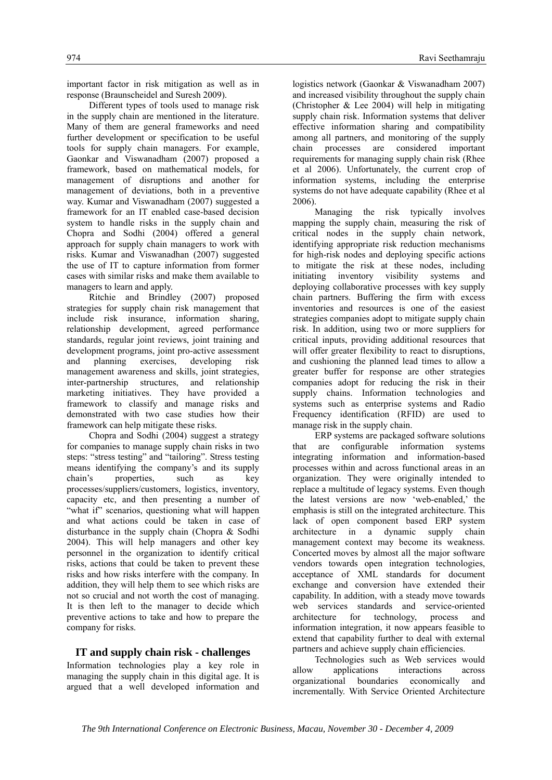important factor in risk mitigation as well as in response (Braunscheidel and Suresh 2009).

Different types of tools used to manage risk in the supply chain are mentioned in the literature. Many of them are general frameworks and need further development or specification to be useful tools for supply chain managers. For example, Gaonkar and Viswanadham (2007) proposed a framework, based on mathematical models, for management of disruptions and another for management of deviations, both in a preventive way. Kumar and Viswanadham (2007) suggested a framework for an IT enabled case-based decision system to handle risks in the supply chain and Chopra and Sodhi (2004) offered a general approach for supply chain managers to work with risks. Kumar and Viswanadhan (2007) suggested the use of IT to capture information from former cases with similar risks and make them available to managers to learn and apply.

Ritchie and Brindley (2007) proposed strategies for supply chain risk management that include risk insurance, information sharing, relationship development, agreed performance standards, regular joint reviews, joint training and development programs, joint pro-active assessment and planning exercises, developing risk management awareness and skills, joint strategies, inter-partnership structures, and relationship marketing initiatives. They have provided a framework to classify and manage risks and demonstrated with two case studies how their framework can help mitigate these risks.

Chopra and Sodhi (2004) suggest a strategy for companies to manage supply chain risks in two steps: "stress testing" and "tailoring". Stress testing means identifying the company's and its supply chain's properties, such as key processes/suppliers/customers, logistics, inventory, capacity etc, and then presenting a number of "what if" scenarios, questioning what will happen and what actions could be taken in case of disturbance in the supply chain (Chopra & Sodhi 2004). This will help managers and other key personnel in the organization to identify critical risks, actions that could be taken to prevent these risks and how risks interfere with the company. In addition, they will help them to see which risks are not so crucial and not worth the cost of managing. It is then left to the manager to decide which preventive actions to take and how to prepare the company for risks.

## **IT and supply chain risk - challenges**

Information technologies play a key role in managing the supply chain in this digital age. It is argued that a well developed information and

logistics network (Gaonkar & Viswanadham 2007) and increased visibility throughout the supply chain (Christopher  $& Lee 2004$ ) will help in mitigating supply chain risk. Information systems that deliver effective information sharing and compatibility among all partners, and monitoring of the supply chain processes are considered important requirements for managing supply chain risk (Rhee et al 2006). Unfortunately, the current crop of information systems, including the enterprise systems do not have adequate capability (Rhee et al 2006).

 Managing the risk typically involves mapping the supply chain, measuring the risk of critical nodes in the supply chain network, identifying appropriate risk reduction mechanisms for high-risk nodes and deploying specific actions to mitigate the risk at these nodes, including initiating inventory visibility systems and deploying collaborative processes with key supply chain partners. Buffering the firm with excess inventories and resources is one of the easiest strategies companies adopt to mitigate supply chain risk. In addition, using two or more suppliers for critical inputs, providing additional resources that will offer greater flexibility to react to disruptions, and cushioning the planned lead times to allow a greater buffer for response are other strategies companies adopt for reducing the risk in their supply chains. Information technologies and systems such as enterprise systems and Radio Frequency identification (RFID) are used to manage risk in the supply chain.

 ERP systems are packaged software solutions that are configurable information systems integrating information and information-based processes within and across functional areas in an organization. They were originally intended to replace a multitude of legacy systems. Even though the latest versions are now 'web-enabled,' the emphasis is still on the integrated architecture. This lack of open component based ERP system architecture in a dynamic supply chain management context may become its weakness. Concerted moves by almost all the major software vendors towards open integration technologies, acceptance of XML standards for document exchange and conversion have extended their capability. In addition, with a steady move towards web services standards and service-oriented architecture for technology, process and information integration, it now appears feasible to extend that capability further to deal with external partners and achieve supply chain efficiencies.

Technologies such as Web services would allow applications interactions across organizational boundaries economically and incrementally. With Service Oriented Architecture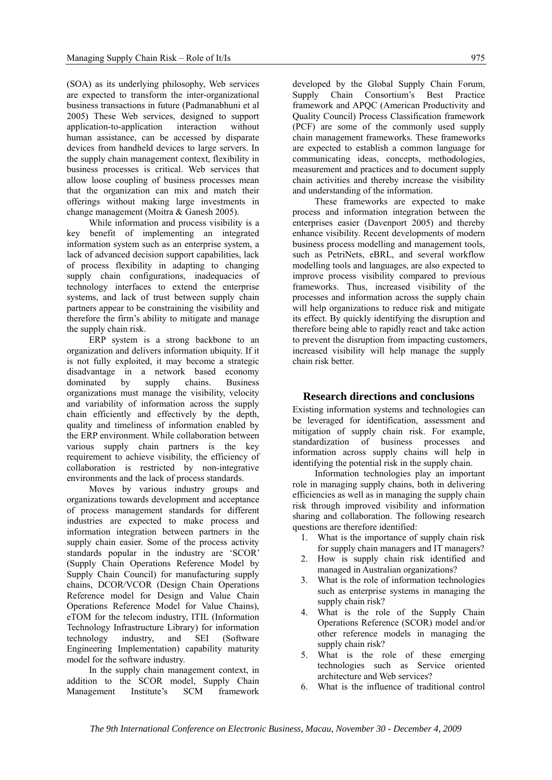(SOA) as its underlying philosophy, Web services are expected to transform the inter-organizational business transactions in future (Padmanabhuni et al 2005) These Web services, designed to support application-to-application interaction without human assistance, can be accessed by disparate devices from handheld devices to large servers. In the supply chain management context, flexibility in business processes is critical. Web services that allow loose coupling of business processes mean that the organization can mix and match their offerings without making large investments in change management (Moitra & Ganesh 2005).

While information and process visibility is a key benefit of implementing an integrated information system such as an enterprise system, a lack of advanced decision support capabilities, lack of process flexibility in adapting to changing supply chain configurations, inadequacies of technology interfaces to extend the enterprise systems, and lack of trust between supply chain partners appear to be constraining the visibility and therefore the firm's ability to mitigate and manage the supply chain risk.

ERP system is a strong backbone to an organization and delivers information ubiquity. If it is not fully exploited, it may become a strategic disadvantage in a network based economy<br>dominated by supply chains. Business dominated by supply chains. Business organizations must manage the visibility, velocity and variability of information across the supply chain efficiently and effectively by the depth, quality and timeliness of information enabled by the ERP environment. While collaboration between various supply chain partners is the key requirement to achieve visibility, the efficiency of collaboration is restricted by non-integrative environments and the lack of process standards.

Moves by various industry groups and organizations towards development and acceptance of process management standards for different industries are expected to make process and information integration between partners in the supply chain easier. Some of the process activity standards popular in the industry are 'SCOR' (Supply Chain Operations Reference Model by Supply Chain Council) for manufacturing supply chains, DCOR/VCOR (Design Chain Operations Reference model for Design and Value Chain Operations Reference Model for Value Chains), eTOM for the telecom industry, ITIL (Information Technology Infrastructure Library) for information technology industry, and SEI (Software Engineering Implementation) capability maturity model for the software industry.

In the supply chain management context, in addition to the SCOR model, Supply Chain Management Institute's SCM framework

developed by the Global Supply Chain Forum, Supply Chain Consortium's Best Practice framework and APQC (American Productivity and Quality Council) Process Classification framework (PCF) are some of the commonly used supply chain management frameworks. These frameworks are expected to establish a common language for communicating ideas, concepts, methodologies, measurement and practices and to document supply chain activities and thereby increase the visibility and understanding of the information.

These frameworks are expected to make process and information integration between the enterprises easier (Davenport 2005) and thereby enhance visibility. Recent developments of modern business process modelling and management tools, such as PetriNets, eBRL, and several workflow modelling tools and languages, are also expected to improve process visibility compared to previous frameworks. Thus, increased visibility of the processes and information across the supply chain will help organizations to reduce risk and mitigate its effect. By quickly identifying the disruption and therefore being able to rapidly react and take action to prevent the disruption from impacting customers, increased visibility will help manage the supply chain risk better.

## **Research directions and conclusions**

Existing information systems and technologies can be leveraged for identification, assessment and mitigation of supply chain risk. For example, standardization of business processes and information across supply chains will help in identifying the potential risk in the supply chain.

Information technologies play an important role in managing supply chains, both in delivering efficiencies as well as in managing the supply chain risk through improved visibility and information sharing and collaboration. The following research questions are therefore identified:

- 1. What is the importance of supply chain risk for supply chain managers and IT managers?
- 2. How is supply chain risk identified and managed in Australian organizations?
- 3. What is the role of information technologies such as enterprise systems in managing the supply chain risk?
- 4. What is the role of the Supply Chain Operations Reference (SCOR) model and/or other reference models in managing the supply chain risk?
- 5. What is the role of these emerging technologies such as Service oriented architecture and Web services?
- 6. What is the influence of traditional control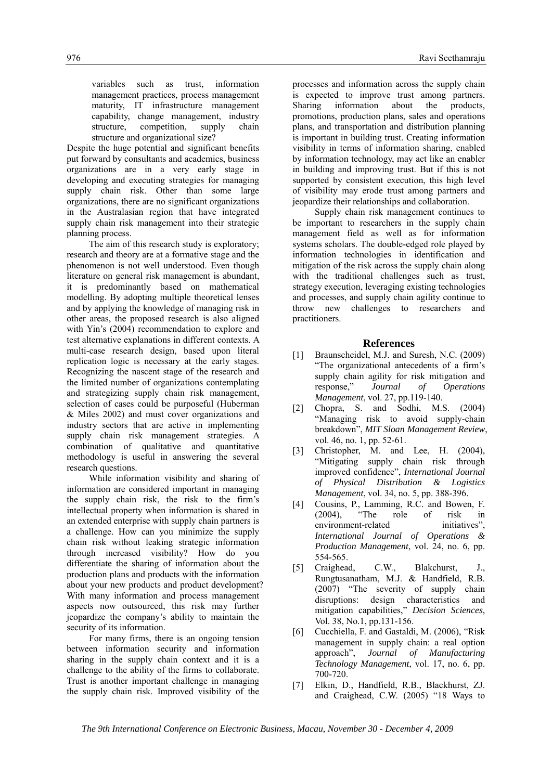variables such as trust, information management practices, process management maturity, IT infrastructure management capability, change management, industry structure, competition, supply chain structure and organizational size?

Despite the huge potential and significant benefits put forward by consultants and academics, business organizations are in a very early stage in developing and executing strategies for managing supply chain risk. Other than some large organizations, there are no significant organizations in the Australasian region that have integrated supply chain risk management into their strategic planning process.

The aim of this research study is exploratory; research and theory are at a formative stage and the phenomenon is not well understood. Even though literature on general risk management is abundant, it is predominantly based on mathematical modelling. By adopting multiple theoretical lenses and by applying the knowledge of managing risk in other areas, the proposed research is also aligned with Yin's (2004) recommendation to explore and test alternative explanations in different contexts. A multi-case research design, based upon literal replication logic is necessary at the early stages. Recognizing the nascent stage of the research and the limited number of organizations contemplating and strategizing supply chain risk management, selection of cases could be purposeful (Huberman & Miles 2002) and must cover organizations and industry sectors that are active in implementing supply chain risk management strategies. A combination of qualitative and quantitative methodology is useful in answering the several research questions.

While information visibility and sharing of information are considered important in managing the supply chain risk, the risk to the firm's intellectual property when information is shared in an extended enterprise with supply chain partners is a challenge. How can you minimize the supply chain risk without leaking strategic information through increased visibility? How do you differentiate the sharing of information about the production plans and products with the information about your new products and product development? With many information and process management aspects now outsourced, this risk may further jeopardize the company's ability to maintain the security of its information.

For many firms, there is an ongoing tension between information security and information sharing in the supply chain context and it is a challenge to the ability of the firms to collaborate. Trust is another important challenge in managing the supply chain risk. Improved visibility of the

processes and information across the supply chain is expected to improve trust among partners. Sharing information about the products, promotions, production plans, sales and operations plans, and transportation and distribution planning is important in building trust. Creating information visibility in terms of information sharing, enabled by information technology, may act like an enabler in building and improving trust. But if this is not supported by consistent execution, this high level of visibility may erode trust among partners and jeopardize their relationships and collaboration.

Supply chain risk management continues to be important to researchers in the supply chain management field as well as for information systems scholars. The double-edged role played by information technologies in identification and mitigation of the risk across the supply chain along with the traditional challenges such as trust, strategy execution, leveraging existing technologies and processes, and supply chain agility continue to throw new challenges to researchers and practitioners.

#### **References**

- [1] Braunscheidel, M.J. and Suresh, N.C. (2009) "The organizational antecedents of a firm's supply chain agility for risk mitigation and response," *Journal of Operations Management*, vol. 27, pp.119-140.
- [2] Chopra, S. and Sodhi, M.S. (2004) "Managing risk to avoid supply-chain breakdown", *MIT Sloan Management Review*, vol. 46, no. 1, pp. 52-61.
- [3] Christopher, M. and Lee, H. (2004), "Mitigating supply chain risk through improved confidence", *International Journal of Physical Distribution & Logistics Management*, vol. 34, no. 5, pp. 388-396.
- [4] Cousins, P., Lamming, R.C. and Bowen, F. (2004). "The role of risk in (2004), "The role of risk in environment-related initiatives". *International Journal of Operations & Production Management*, vol. 24, no. 6, pp. 554-565.
- [5] Craighead, C.W., Blakchurst, J., Rungtusanatham, M.J. & Handfield, R.B. (2007) "The severity of supply chain disruptions: design characteristics and mitigation capabilities," *Decision Sciences*, Vol. 38, No.1, pp.131-156.
- [6] Cucchiella, F. and Gastaldi, M. (2006), "Risk management in supply chain: a real option approach", *Journal of Manufacturing Technology Management*, vol. 17, no. 6, pp. 700-720.
- [7] Elkin, D., Handfield, R.B., Blackhurst, ZJ. and Craighead, C.W. (2005) "18 Ways to